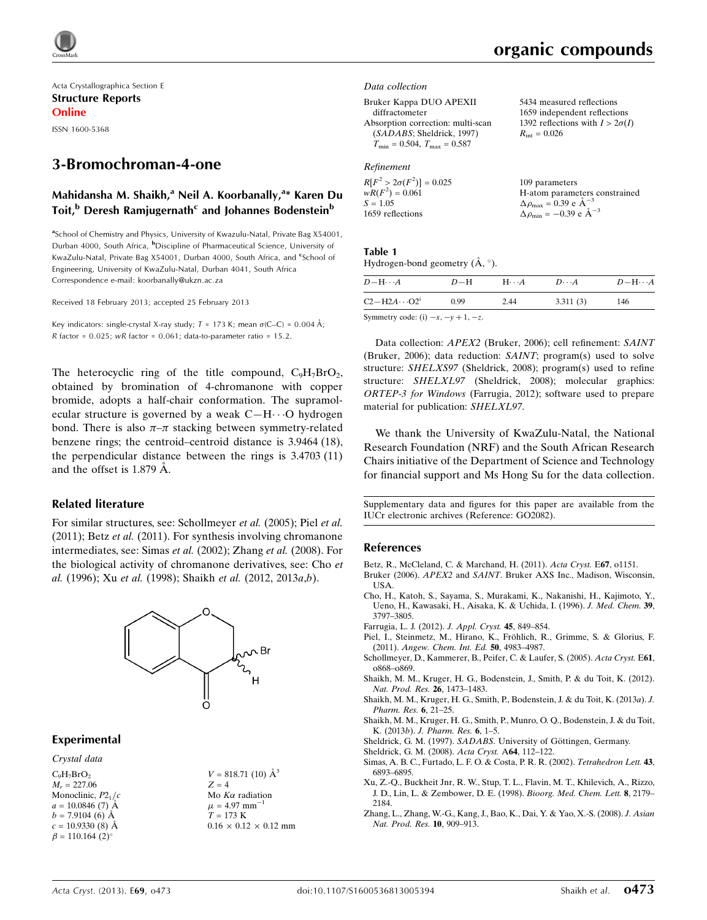Acta Crystallographica Section E Structure Reports Online ISSN 1600-5368

# 3-Bromochroman-4-one

## Mahidansha M. Shaikh,<sup>a</sup> Neil A. Koorbanally,<sup>a</sup>\* Karen Du Toit,<sup>b</sup> Deresh Ramjugernath<sup>c</sup> and Johannes Bodenstein<sup>b</sup>

<sup>a</sup>School of Chemistry and Physics, University of Kwazulu-Natal, Private Bag X54001, Durban 4000, South Africa, <sup>b</sup>Discipline of Pharmaceutical Science, University of KwaZulu-Natal, Private Bag X54001, Durban 4000, South Africa, and <sup>e</sup>School of Engineering, University of KwaZulu-Natal, Durban 4041, South Africa Correspondence e-mail: [koorbanally@ukzn.ac.za](https://scripts.iucr.org/cgi-bin/cr.cgi?rm=pdfbb&cnor=go2082&bbid=BB14)

Received 18 February 2013; accepted 25 February 2013

Key indicators: single-crystal X-ray study;  $T = 173$  K; mean  $\sigma$ (C–C) = 0.004 Å;  $R$  factor = 0.025; w $R$  factor = 0.061; data-to-parameter ratio = 15.2.

The heterocyclic ring of the title compound,  $C_9H_7BrO_2$ , obtained by bromination of 4-chromanone with copper bromide, adopts a half-chair conformation. The supramolecular structure is governed by a weak  $C-H \cdots O$  hydrogen bond. There is also  $\pi-\pi$  stacking between symmetry-related benzene rings; the centroid–centroid distance is 3.9464 (18), the perpendicular distance between the rings is 3.4703 (11) and the offset is  $1.879 \text{ Å}$ .

### Related literature

For similar structures, see: Schollmeyer et al. (2005); Piel et al. (2011); Betz *et al.* (2011). For synthesis involving chromanone intermediates, see: Simas et al. (2002); Zhang et al. (2008). For the biological activity of chromanone derivatives, see: Cho et al. (1996); Xu et al. (1998); Shaikh et al. (2012, 2013a,b).



### Experimental

### Crystal data

 $C_0H_7BrO_2$  $M_r = 227.06$ Monoclinic,  $P2<sub>1</sub>/c$  $a = 10.0846(7)$  Å  $b = 7.9104$  (6) Å  $c = 10.9330(8)$  Å  $\beta = 110.164$  (2)<sup>o</sup>

 $V = 818.71$  (10)  $\AA^3$  $Z = 4$ Mo  $K\alpha$  radiation  $\mu = 4.97$  mm<sup>-1</sup>  $T=173\,$  K  $0.16 \times 0.12 \times 0.12$  mm organic compounds

5434 measured reflections 1659 independent reflections 1392 reflections with  $I > 2\sigma(I)$ 

 $R_{\text{int}} = 0.026$ 

### Data collection

#### Bruker Kappa DUO APEXII

diffractometer Absorption correction: multi-scan (SADABS; Sheldrick, 1997)  $T_{\text{min}} = 0.504, T_{\text{max}} = 0.587$ 

### Refinement

| $R[F^2 > 2\sigma(F^2)] = 0.025$ | 109 parameters                                     |
|---------------------------------|----------------------------------------------------|
| $wR(F^2) = 0.061$               | H-atom parameters constrained                      |
| $S = 1.05$                      | $\Delta \rho_{\text{max}} = 0.39 \text{ e A}^{-3}$ |
| 1659 reflections                | $\Delta \rho_{\rm min} = -0.39 \text{ e A}^{-3}$   |

### Table 1

Hydrogen-bond geometry  $(\mathring{A}, \degree)$ .

| $D - H \cdots A$                           | $D-H$ | $H\cdots A$ | $D\cdots A$ | $D - H \cdots A$ |
|--------------------------------------------|-------|-------------|-------------|------------------|
| $C2-H2A\cdots O2^i$                        | 0.99  | 2.44        | 3.311(3)    | 146              |
| Symmetry code: (i) $-x$ , $-y$ + 1, $-z$ . |       |             |             |                  |

Data collection: APEX2 (Bruker, 2006); cell refinement: SAINT (Bruker, 2006); data reduction: SAINT; program(s) used to solve structure: SHELXS97 (Sheldrick, 2008); program(s) used to refine structure: SHELXL97 (Sheldrick, 2008); molecular graphics: ORTEP-3 for Windows (Farrugia, 2012); software used to prepare material for publication: SHELXL97.

We thank the University of KwaZulu-Natal, the National Research Foundation (NRF) and the South African Research Chairs initiative of the Department of Science and Technology for financial support and Ms Hong Su for the data collection.

Supplementary data and figures for this paper are available from the IUCr electronic archives (Reference: GO2082).

### References

[Betz, R., McCleland, C. & Marchand, H. \(2011\).](https://scripts.iucr.org/cgi-bin/cr.cgi?rm=pdfbb&cnor=go2082&bbid=BB1) Acta Cryst. E67, o1151.

Bruker (2006). APEX2 and SAINT[. Bruker AXS Inc., Madison, Wisconsin,](https://scripts.iucr.org/cgi-bin/cr.cgi?rm=pdfbb&cnor=go2082&bbid=BB2) [USA.](https://scripts.iucr.org/cgi-bin/cr.cgi?rm=pdfbb&cnor=go2082&bbid=BB2)

- [Cho, H., Katoh, S., Sayama, S., Murakami, K., Nakanishi, H., Kajimoto, Y.,](https://scripts.iucr.org/cgi-bin/cr.cgi?rm=pdfbb&cnor=go2082&bbid=BB3) [Ueno, H., Kawasaki, H., Aisaka, K. & Uchida, I. \(1996\).](https://scripts.iucr.org/cgi-bin/cr.cgi?rm=pdfbb&cnor=go2082&bbid=BB3) J. Med. Chem. 39, [3797–3805.](https://scripts.iucr.org/cgi-bin/cr.cgi?rm=pdfbb&cnor=go2082&bbid=BB3)
- [Farrugia, L. J. \(2012\).](https://scripts.iucr.org/cgi-bin/cr.cgi?rm=pdfbb&cnor=go2082&bbid=BB4) J. Appl. Cryst. 45, 849–854.
- Piel, I., Steinmetz, M., Hirano, K., Fröhlich, R., Grimme, S. & Glorius, F. (2011). [Angew. Chem. Int. Ed.](https://scripts.iucr.org/cgi-bin/cr.cgi?rm=pdfbb&cnor=go2082&bbid=BB5) 50, 4983–4987.
- [Schollmeyer, D., Kammerer, B., Peifer, C. & Laufer, S. \(2005\).](https://scripts.iucr.org/cgi-bin/cr.cgi?rm=pdfbb&cnor=go2082&bbid=BB6) Acta Cryst. E61, [o868–o869.](https://scripts.iucr.org/cgi-bin/cr.cgi?rm=pdfbb&cnor=go2082&bbid=BB6)
- [Shaikh, M. M., Kruger, H. G., Bodenstein, J., Smith, P. & du Toit, K. \(2012\).](https://scripts.iucr.org/cgi-bin/cr.cgi?rm=pdfbb&cnor=go2082&bbid=BB7) [Nat. Prod. Res.](https://scripts.iucr.org/cgi-bin/cr.cgi?rm=pdfbb&cnor=go2082&bbid=BB7) 26, 1473–1483.
- [Shaikh, M. M., Kruger, H. G., Smith, P., Bodenstein, J. & du Toit, K. \(2013](https://scripts.iucr.org/cgi-bin/cr.cgi?rm=pdfbb&cnor=go2082&bbid=BB8)a). J. [Pharm. Res.](https://scripts.iucr.org/cgi-bin/cr.cgi?rm=pdfbb&cnor=go2082&bbid=BB8) 6, 21–25.
- [Shaikh, M. M., Kruger, H. G., Smith, P., Munro, O. Q., Bodenstein, J. & du Toit,](https://scripts.iucr.org/cgi-bin/cr.cgi?rm=pdfbb&cnor=go2082&bbid=BB9) K. (2013b). [J. Pharm. Res.](https://scripts.iucr.org/cgi-bin/cr.cgi?rm=pdfbb&cnor=go2082&bbid=BB9) 6, 1–5.
- Sheldrick, G. M. (1997). SADABS. University of Göttingen, Germany.
- [Sheldrick, G. M. \(2008\).](https://scripts.iucr.org/cgi-bin/cr.cgi?rm=pdfbb&cnor=go2082&bbid=BB11) Acta Cryst. A64, 112–122.
- [Simas, A. B. C., Furtado, L. F. O. & Costa, P. R. R. \(2002\).](https://scripts.iucr.org/cgi-bin/cr.cgi?rm=pdfbb&cnor=go2082&bbid=BB12) Tetrahedron Lett. 43, [6893–6895.](https://scripts.iucr.org/cgi-bin/cr.cgi?rm=pdfbb&cnor=go2082&bbid=BB12)
- [Xu, Z.-Q., Buckheit Jnr, R. W., Stup, T. L., Flavin, M. T., Khilevich, A., Rizzo,](https://scripts.iucr.org/cgi-bin/cr.cgi?rm=pdfbb&cnor=go2082&bbid=BB13) [J. D., Lin, L. & Zembower, D. E. \(1998\).](https://scripts.iucr.org/cgi-bin/cr.cgi?rm=pdfbb&cnor=go2082&bbid=BB13) Bioorg. Med. Chem. Lett. 8, 2179– [2184.](https://scripts.iucr.org/cgi-bin/cr.cgi?rm=pdfbb&cnor=go2082&bbid=BB13)
- [Zhang, L., Zhang, W.-G., Kang, J., Bao, K., Dai, Y. & Yao, X.-S. \(2008\).](https://scripts.iucr.org/cgi-bin/cr.cgi?rm=pdfbb&cnor=go2082&bbid=BB14) J. Asian [Nat. Prod. Res.](https://scripts.iucr.org/cgi-bin/cr.cgi?rm=pdfbb&cnor=go2082&bbid=BB14) 10, 909–913.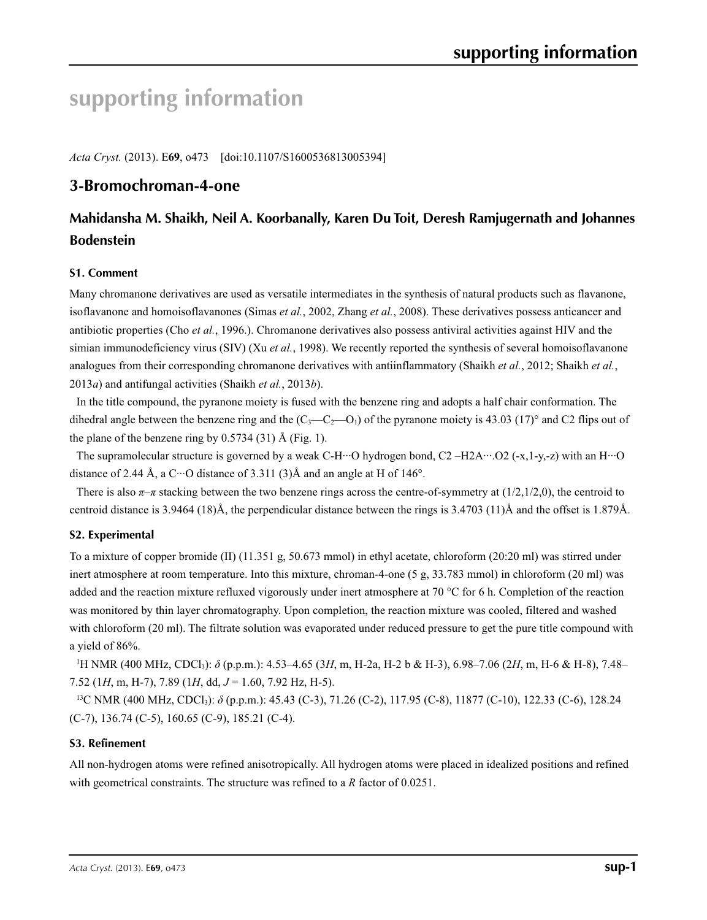# **supporting information**

*Acta Cryst.* (2013). E**69**, o473 [doi:10.1107/S1600536813005394]

## **3-Bromochroman-4-one**

# **Mahidansha M. Shaikh, Neil A. Koorbanally, Karen Du Toit, Deresh Ramjugernath and Johannes Bodenstein**

## **S1. Comment**

Many chromanone derivatives are used as versatile intermediates in the synthesis of natural products such as flavanone, isoflavanone and homoisoflavanones (Simas *et al.*, 2002, Zhang *et al.*, 2008). These derivatives possess anticancer and antibiotic properties (Cho *et al.*, 1996.). Chromanone derivatives also possess antiviral activities against HIV and the simian immunodeficiency virus (SIV) (Xu *et al.*, 1998). We recently reported the synthesis of several homoisoflavanone analogues from their corresponding chromanone derivatives with antiinflammatory (Shaikh *et al.*, 2012; Shaikh *et al.*, 2013*a*) and antifungal activities (Shaikh *et al.*, 2013*b*).

In the title compound, the pyranone moiety is fused with the benzene ring and adopts a half chair conformation. The dihedral angle between the benzene ring and the  $(C_3 - C_2 - 0_1)$  of the pyranone moiety is 43.03 (17)° and C2 flips out of the plane of the benzene ring by  $0.5734(31)$  Å (Fig. 1).

The supramolecular structure is governed by a weak C-H···O hydrogen bond, C2 –H2A···.O2 (-x,1-y,-z) with an H···O distance of 2.44 Å, a C···O distance of 3.311 (3)Å and an angle at H of 146 $^{\circ}$ .

There is also  $\pi$ – $\pi$  stacking between the two benzene rings across the centre-of-symmetry at (1/2,1/2,0), the centroid to centroid distance is 3.9464 (18)Å, the perpendicular distance between the rings is 3.4703 (11)Å and the offset is 1.879Å.

### **S2. Experimental**

To a mixture of copper bromide (II) (11.351 g, 50.673 mmol) in ethyl acetate, chloroform (20:20 ml) was stirred under inert atmosphere at room temperature. Into this mixture, chroman-4-one (5 g, 33.783 mmol) in chloroform (20 ml) was added and the reaction mixture refluxed vigorously under inert atmosphere at 70 °C for 6 h. Completion of the reaction was monitored by thin layer chromatography. Upon completion, the reaction mixture was cooled, filtered and washed with chloroform (20 ml). The filtrate solution was evaporated under reduced pressure to get the pure title compound with a yield of 86%.

1 H NMR (400 MHz, CDCl3): *δ* (p.p.m.): 4.53–4.65 (3*H*, m, H-2a, H-2 b & H-3), 6.98–7.06 (2*H*, m, H-6 & H-8), 7.48– 7.52 (1*H*, m, H-7), 7.89 (1*H*, dd, *J* = 1.60, 7.92 Hz, H-5).

<sup>13</sup>C NMR (400 MHz, CDCl<sub>3</sub>):  $\delta$  (p.p.m.): 45.43 (C-3), 71.26 (C-2), 117.95 (C-8), 11877 (C-10), 122.33 (C-6), 128.24 (C-7), 136.74 (C-5), 160.65 (C-9), 185.21 (C-4).

### **S3. Refinement**

All non-hydrogen atoms were refined anisotropically. All hydrogen atoms were placed in idealized positions and refined with geometrical constraints. The structure was refined to a *R* factor of 0.0251.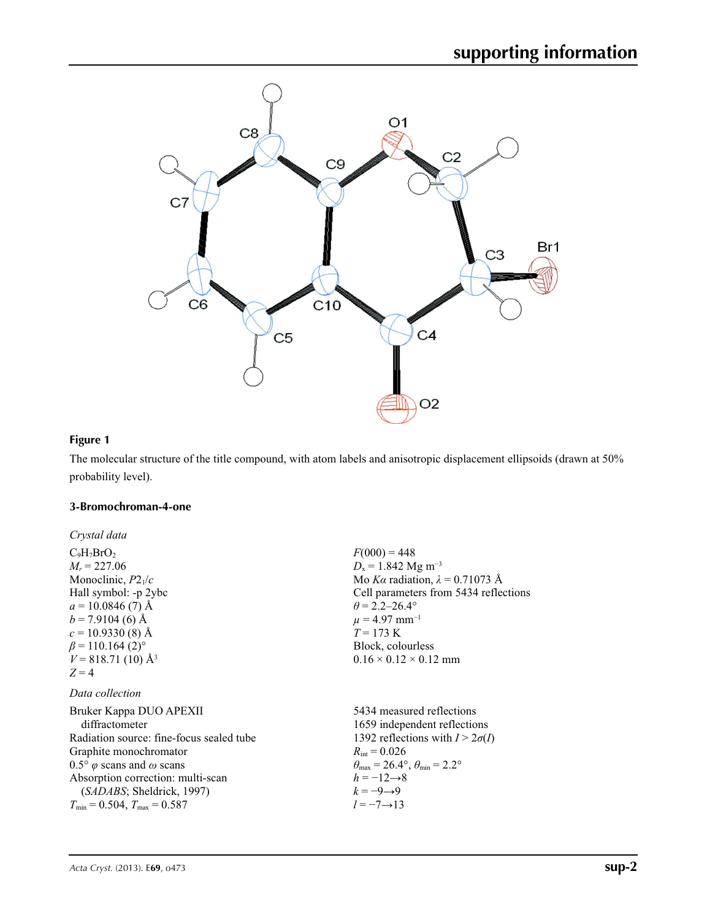

## **Figure 1**

The molecular structure of the title compound, with atom labels and anisotropic displacement ellipsoids (drawn at 50% probability level).

### **3-Bromochroman-4-one**

| Crystal data                                     |                                                       |
|--------------------------------------------------|-------------------------------------------------------|
| $C_9H_7BrO_2$                                    | $F(000) = 448$                                        |
| $M_r = 227.06$                                   | $D_x = 1.842$ Mg m <sup>-3</sup>                      |
| Monoclinic, $P2_1/c$                             | Mo Ka radiation, $\lambda = 0.71073$ Å                |
| Hall symbol: -p 2ybc                             | Cell parameters from 5434 reflections                 |
| $a = 10.0846(7)$ Å                               | $\theta$ = 2.2–26.4°                                  |
| $b = 7.9104(6)$ Å                                | $\mu = 4.97$ mm <sup>-1</sup>                         |
| $c = 10.9330(8)$ Å                               | $T = 173 \text{ K}$                                   |
| $\beta$ = 110.164 (2) <sup>o</sup>               | Block, colourless                                     |
| $V = 818.71(10)$ Å <sup>3</sup>                  | $0.16 \times 0.12 \times 0.12$ mm                     |
| $Z=4$                                            |                                                       |
| Data collection                                  |                                                       |
| Bruker Kappa DUO APEXII                          | 5434 measured reflections                             |
| diffractometer                                   | 1659 independent reflections                          |
| Radiation source: fine-focus sealed tube         | 1392 reflections with $I > 2\sigma(I)$                |
| Graphite monochromator                           | $R_{\text{int}} = 0.026$                              |
| $0.5^{\circ}$ $\varphi$ scans and $\omega$ scans | $\theta_{\rm max}$ = 26.4°, $\theta_{\rm min}$ = 2.2° |
| Absorption correction: multi-scan                | $h = -12 \rightarrow 8$                               |
| ( <i>SADABS</i> ; Sheldrick, 1997)               | $k=-9 \rightarrow 9$                                  |
| $T_{\min} = 0.504$ , $T_{\max} = 0.587$          | $l = -7 \rightarrow 13$                               |
|                                                  |                                                       |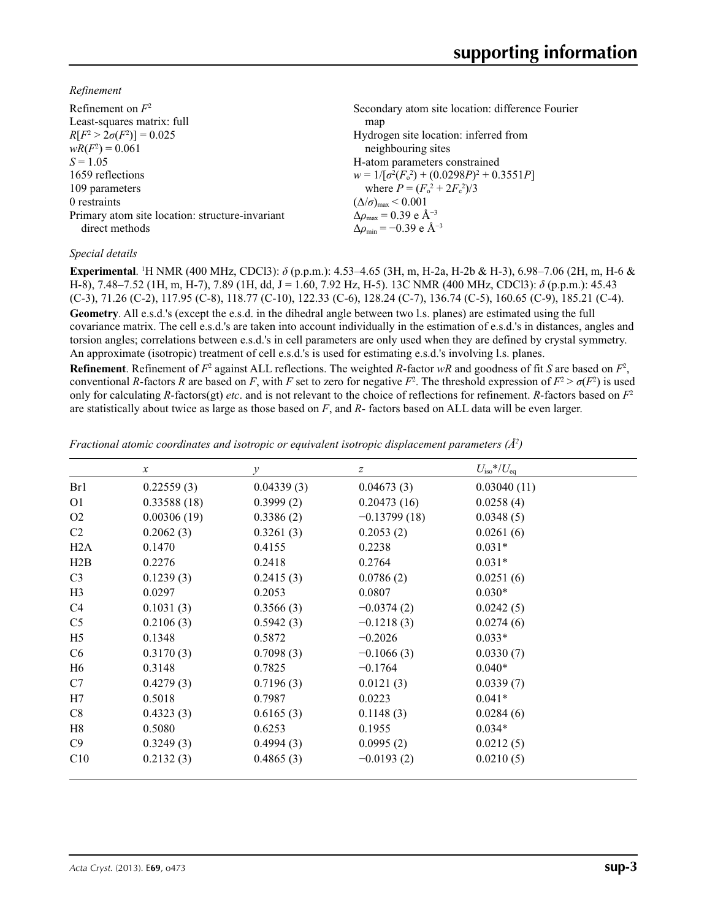*Refinement*

| Refinement on $F^2$                             | Secondary atom site location: difference Fourier   |
|-------------------------------------------------|----------------------------------------------------|
| Least-squares matrix: full                      | map                                                |
| $R[F^2 > 2\sigma(F^2)] = 0.025$                 | Hydrogen site location: inferred from              |
| $wR(F^2) = 0.061$                               | neighbouring sites                                 |
| $S = 1.05$                                      | H-atom parameters constrained                      |
| 1659 reflections                                | $w = 1/[\sigma^2(F_0^2) + (0.0298P)^2 + 0.3551P]$  |
| 109 parameters                                  | where $P = (F_o^2 + 2F_c^2)/3$                     |
| 0 restraints                                    | $(\Delta/\sigma)_{\text{max}}$ < 0.001             |
| Primary atom site location: structure-invariant | $\Delta \rho_{\text{max}} = 0.39 \text{ e A}^{-3}$ |
| direct methods                                  | $\Delta\rho_{\rm min} = -0.39$ e Å <sup>-3</sup>   |

## *Special details*

**Experimental**. 1 H NMR (400 MHz, CDCl3): *δ* (p.p.m.): 4.53–4.65 (3H, m, H-2a, H-2b & H-3), 6.98–7.06 (2H, m, H-6 & H-8), 7.48–7.52 (1H, m, H-7), 7.89 (1H, dd, J = 1.60, 7.92 Hz, H-5). 13C NMR (400 MHz, CDCl3): *δ* (p.p.m.): 45.43 (C-3), 71.26 (C-2), 117.95 (C-8), 118.77 (C-10), 122.33 (C-6), 128.24 (C-7), 136.74 (C-5), 160.65 (C-9), 185.21 (C-4). **Geometry**. All e.s.d.'s (except the e.s.d. in the dihedral angle between two l.s. planes) are estimated using the full covariance matrix. The cell e.s.d.'s are taken into account individually in the estimation of e.s.d.'s in distances, angles and torsion angles; correlations between e.s.d.'s in cell parameters are only used when they are defined by crystal symmetry. An approximate (isotropic) treatment of cell e.s.d.'s is used for estimating e.s.d.'s involving l.s. planes.

**Refinement**. Refinement of  $F^2$  against ALL reflections. The weighted *R*-factor  $wR$  and goodness of fit *S* are based on  $F^2$ , conventional *R*-factors *R* are based on *F*, with *F* set to zero for negative *F*<sup>2</sup>. The threshold expression of  $F^2 > \sigma(F^2)$  is used only for calculating *R*-factors(gt) *etc*. and is not relevant to the choice of reflections for refinement. *R*-factors based on *F*<sup>2</sup> are statistically about twice as large as those based on *F*, and *R*- factors based on ALL data will be even larger.

*Fractional atomic coordinates and isotropic or equivalent isotropic displacement parameters (Å<sup>2</sup>)* 

|                | $\mathcal{X}$ | $\mathcal{Y}$ | $\boldsymbol{Z}$ | $U_{\rm iso}*/U_{\rm eq}$ |  |
|----------------|---------------|---------------|------------------|---------------------------|--|
| Br1            | 0.22559(3)    | 0.04339(3)    | 0.04673(3)       | 0.03040(11)               |  |
| O <sub>1</sub> | 0.33588(18)   | 0.3999(2)     | 0.20473(16)      | 0.0258(4)                 |  |
| O <sub>2</sub> | 0.00306(19)   | 0.3386(2)     | $-0.13799(18)$   | 0.0348(5)                 |  |
| C2             | 0.2062(3)     | 0.3261(3)     | 0.2053(2)        | 0.0261(6)                 |  |
| H2A            | 0.1470        | 0.4155        | 0.2238           | $0.031*$                  |  |
| H2B            | 0.2276        | 0.2418        | 0.2764           | $0.031*$                  |  |
| C <sub>3</sub> | 0.1239(3)     | 0.2415(3)     | 0.0786(2)        | 0.0251(6)                 |  |
| H <sub>3</sub> | 0.0297        | 0.2053        | 0.0807           | $0.030*$                  |  |
| C4             | 0.1031(3)     | 0.3566(3)     | $-0.0374(2)$     | 0.0242(5)                 |  |
| C <sub>5</sub> | 0.2106(3)     | 0.5942(3)     | $-0.1218(3)$     | 0.0274(6)                 |  |
| H <sub>5</sub> | 0.1348        | 0.5872        | $-0.2026$        | $0.033*$                  |  |
| C6             | 0.3170(3)     | 0.7098(3)     | $-0.1066(3)$     | 0.0330(7)                 |  |
| H <sub>6</sub> | 0.3148        | 0.7825        | $-0.1764$        | $0.040*$                  |  |
| C7             | 0.4279(3)     | 0.7196(3)     | 0.0121(3)        | 0.0339(7)                 |  |
| H7             | 0.5018        | 0.7987        | 0.0223           | $0.041*$                  |  |
| C8             | 0.4323(3)     | 0.6165(3)     | 0.1148(3)        | 0.0284(6)                 |  |
| H8             | 0.5080        | 0.6253        | 0.1955           | $0.034*$                  |  |
| C9             | 0.3249(3)     | 0.4994(3)     | 0.0995(2)        | 0.0212(5)                 |  |
| C10            | 0.2132(3)     | 0.4865(3)     | $-0.0193(2)$     | 0.0210(5)                 |  |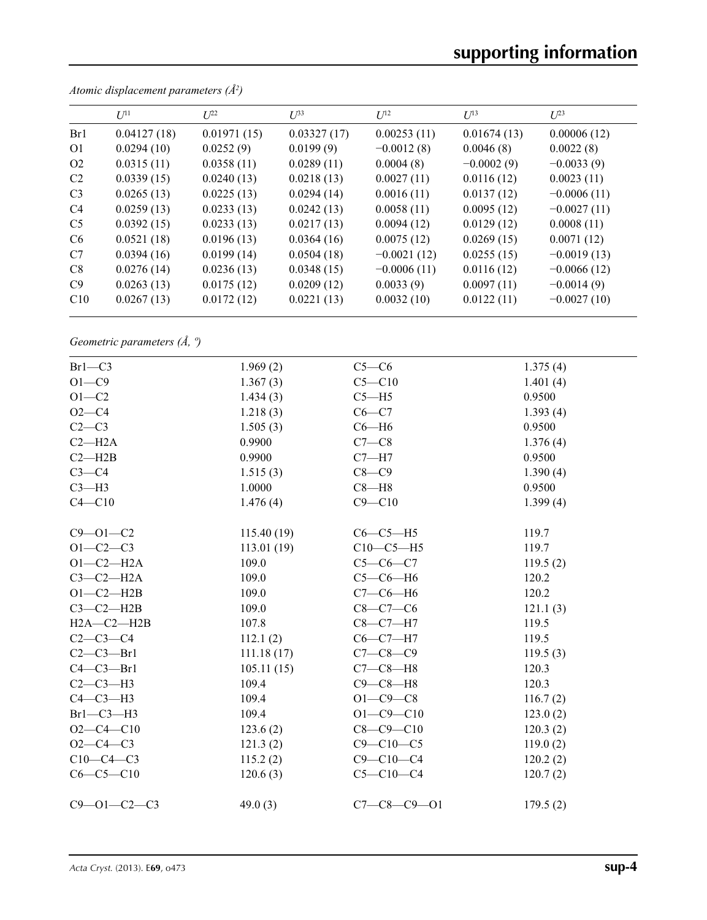|                | $U^{11}$    | $L^{22}$    | $U^{33}$    | $U^{12}$      | $U^{13}$     | $U^{23}$      |
|----------------|-------------|-------------|-------------|---------------|--------------|---------------|
| Br1            | 0.04127(18) | 0.01971(15) | 0.03327(17) | 0.00253(11)   | 0.01674(13)  | 0.00006(12)   |
| O <sub>1</sub> | 0.0294(10)  | 0.0252(9)   | 0.0199(9)   | $-0.0012(8)$  | 0.0046(8)    | 0.0022(8)     |
| O <sub>2</sub> | 0.0315(11)  | 0.0358(11)  | 0.0289(11)  | 0.0004(8)     | $-0.0002(9)$ | $-0.0033(9)$  |
| C <sub>2</sub> | 0.0339(15)  | 0.0240(13)  | 0.0218(13)  | 0.0027(11)    | 0.0116(12)   | 0.0023(11)    |
| C <sub>3</sub> | 0.0265(13)  | 0.0225(13)  | 0.0294(14)  | 0.0016(11)    | 0.0137(12)   | $-0.0006(11)$ |
| C <sub>4</sub> | 0.0259(13)  | 0.0233(13)  | 0.0242(13)  | 0.0058(11)    | 0.0095(12)   | $-0.0027(11)$ |
| C <sub>5</sub> | 0.0392(15)  | 0.0233(13)  | 0.0217(13)  | 0.0094(12)    | 0.0129(12)   | 0.0008(11)    |
| C <sub>6</sub> | 0.0521(18)  | 0.0196(13)  | 0.0364(16)  | 0.0075(12)    | 0.0269(15)   | 0.0071(12)    |
| C7             | 0.0394(16)  | 0.0199(14)  | 0.0504(18)  | $-0.0021(12)$ | 0.0255(15)   | $-0.0019(13)$ |
| C8             | 0.0276(14)  | 0.0236(13)  | 0.0348(15)  | $-0.0006(11)$ | 0.0116(12)   | $-0.0066(12)$ |
| C9             | 0.0263(13)  | 0.0175(12)  | 0.0209(12)  | 0.0033(9)     | 0.0097(11)   | $-0.0014(9)$  |
| C10            | 0.0267(13)  | 0.0172(12)  | 0.0221(13)  | 0.0032(10)    | 0.0122(11)   | $-0.0027(10)$ |
|                |             |             |             |               |              |               |

*Atomic displacement parameters (Å2 )*

*Geometric parameters (Å, º)*

| $Br1-C3$            | 1.969(2)   | $C5-C6$             | 1.375(4) |
|---------------------|------------|---------------------|----------|
| $O1-C9$             | 1.367(3)   | $C5 - C10$          | 1.401(4) |
| $O1 - C2$           | 1.434(3)   | $C5 - H5$           | 0.9500   |
| $O2-C4$             | 1.218(3)   | $C6 - C7$           | 1.393(4) |
| $C2-C3$             | 1.505(3)   | $C6 - H6$           | 0.9500   |
| $C2 - H2A$          | 0.9900     | $C7-C8$             | 1.376(4) |
| $C2 - H2B$          | 0.9900     | $C7 - H7$           | 0.9500   |
| $C3-C4$             | 1.515(3)   | $C8-C9$             | 1.390(4) |
| $C3-H3$             | 1.0000     | $C8 - H8$           | 0.9500   |
| $C4 - C10$          | 1.476(4)   | $C9 - C10$          | 1.399(4) |
|                     |            |                     |          |
| $C9 - 01 - C2$      | 115.40(19) | $C6-C5-H5$          | 119.7    |
| $O1 - C2 - C3$      | 113.01(19) | $C10-C5-H5$         | 119.7    |
| $O1 - C2 - H2A$     | 109.0      | $C5-C6-C7$          | 119.5(2) |
| $C3-C2-H2A$         | 109.0      | $C5-C6-H6$          | 120.2    |
| $O1-C2-H2B$         | 109.0      | $C7-C6-H6$          | 120.2    |
| $C3-C2-H2B$         | 109.0      | $C8-C7-C6$          | 121.1(3) |
| $H2A - C2 - H2B$    | 107.8      | $C8-C7-H7$          | 119.5    |
| $C2 - C3 - C4$      | 112.1(2)   | $C6 - C7 - H7$      | 119.5    |
| $C2-C3-Pr1$         | 111.18(17) | $C7 - C8 - C9$      | 119.5(3) |
| $C4-C3-Pr1$         | 105.11(15) | $C7-C8-H8$          | 120.3    |
| $C2-C3-H3$          | 109.4      | $C9 - C8 - H8$      | 120.3    |
| $C4-C3-H3$          | 109.4      | $O1 - C9 - C8$      | 116.7(2) |
| $Br1-C3-H3$         | 109.4      | $O1 - C9 - C10$     | 123.0(2) |
| $O2 - C4 - C10$     | 123.6(2)   | $C8 - C9 - C10$     | 120.3(2) |
| $O2 - C4 - C3$      | 121.3(2)   | $C9 - C10 - C5$     | 119.0(2) |
| $C10-C4-C3$         | 115.2(2)   | $C9 - C10 - C4$     | 120.2(2) |
| $C6-C5-C10$         | 120.6(3)   | $C5 - C10 - C4$     | 120.7(2) |
| $C9 - 01 - C2 - C3$ | 49.0 $(3)$ | $C7 - C8 - C9 - O1$ | 179.5(2) |
|                     |            |                     |          |